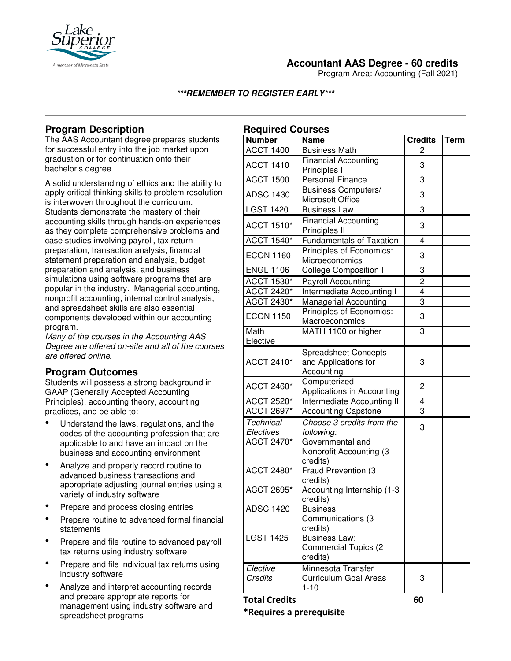

# **Accountant AAS Degree - 60 credits**

Program Area: Accounting (Fall 2021)

#### **\*\*\*REMEMBER TO REGISTER EARLY\*\*\***

# **Program Description**

The AAS Accountant degree prepares students for successful entry into the job market upon graduation or for continuation onto their bachelor's degree.

A solid understanding of ethics and the ability to apply critical thinking skills to problem resolution is interwoven throughout the curriculum. Students demonstrate the mastery of their accounting skills through hands-on experiences as they complete comprehensive problems and case studies involving payroll, tax return preparation, transaction analysis, financial statement preparation and analysis, budget preparation and analysis, and business simulations using software programs that are popular in the industry. Managerial accounting, nonprofit accounting, internal control analysis, and spreadsheet skills are also essential components developed within our accounting program.

*Many of the courses in the Accounting AAS Degree are offered on-site and all of the courses are offered online.* 

### **Program Outcomes**

Students will possess a strong background in GAAP (Generally Accepted Accounting Principles), accounting theory, accounting practices, and be able to:

- Understand the laws, regulations, and the codes of the accounting profession that are applicable to and have an impact on the business and accounting environment
- Analyze and properly record routine to advanced business transactions and appropriate adjusting journal entries using a variety of industry software
- Prepare and process closing entries
- Prepare routine to advanced formal financial statements
- Prepare and file routine to advanced payroll tax returns using industry software
- Prepare and file individual tax returns using industry software
- Analyze and interpret accounting records and prepare appropriate reports for management using industry software and spreadsheet programs

| <b>Required Courses</b>                            |                                                                                                           |                |             |
|----------------------------------------------------|-----------------------------------------------------------------------------------------------------------|----------------|-------------|
| <b>Number</b>                                      | <b>Name</b>                                                                                               | <b>Credits</b> | <b>Term</b> |
| <b>ACCT 1400</b>                                   | <b>Business Math</b>                                                                                      | 2              |             |
| <b>ACCT 1410</b>                                   | <b>Financial Accounting</b><br>Principles I                                                               | 3              |             |
| <b>ACCT 1500</b>                                   | <b>Personal Finance</b>                                                                                   | 3              |             |
| <b>ADSC 1430</b>                                   | <b>Business Computers/</b><br>Microsoft Office                                                            | 3              |             |
| <b>LGST 1420</b>                                   | <b>Business Law</b>                                                                                       | 3              |             |
| <b>ACCT 1510*</b>                                  | <b>Financial Accounting</b><br>Principles II                                                              | 3              |             |
| <b>ACCT 1540*</b>                                  | <b>Fundamentals of Taxation</b>                                                                           | 4              |             |
| <b>ECON 1160</b>                                   | Principles of Economics:<br>Microeconomics                                                                | 3              |             |
| <b>ENGL 1106</b>                                   | <b>College Composition I</b>                                                                              | 3              |             |
| <b>ACCT 1530*</b>                                  | <b>Payroll Accounting</b>                                                                                 | $\overline{c}$ |             |
| <b>ACCT 2420*</b>                                  | Intermediate Accounting I                                                                                 | 4              |             |
| <b>ACCT 2430*</b>                                  | <b>Managerial Accounting</b>                                                                              | 3              |             |
| <b>ECON 1150</b>                                   | Principles of Economics:<br>Macroeconomics                                                                | 3              |             |
| Math<br>Elective                                   | MATH 1100 or higher                                                                                       | 3              |             |
| <b>ACCT 2410*</b>                                  | <b>Spreadsheet Concepts</b><br>and Applications for<br>Accounting                                         | 3              |             |
| <b>ACCT 2460*</b>                                  | Computerized<br>Applications in Accounting                                                                | 2              |             |
| ACCT 2520*                                         | Intermediate Accounting II                                                                                | 4              |             |
| ACCT 2697*                                         | <b>Accounting Capstone</b>                                                                                | 3              |             |
| <b>Technical</b><br>Electives<br><b>ACCT 2470*</b> | Choose 3 credits from the<br>following:<br>Governmental and<br><b>Nonprofit Accounting (3</b><br>credits) | 3              |             |
| <b>ACCT 2480*</b>                                  | Fraud Prevention (3<br>credits)                                                                           |                |             |
| ACCT 2695*                                         | Accounting Internship (1-3<br>credits)                                                                    |                |             |
| <b>ADSC 1420</b>                                   | <b>Business</b><br>Communications (3<br>credits)                                                          |                |             |
| <b>LGST 1425</b>                                   | <b>Business Law:</b><br><b>Commercial Topics (2)</b><br>credits)                                          |                |             |
| Elective<br>Credits                                | Minnesota Transfer<br><b>Curriculum Goal Areas</b><br>$1 - 10$                                            | 3              |             |
| <b>Total Credits</b>                               |                                                                                                           | 60             |             |

**\*Requires a prerequisite**